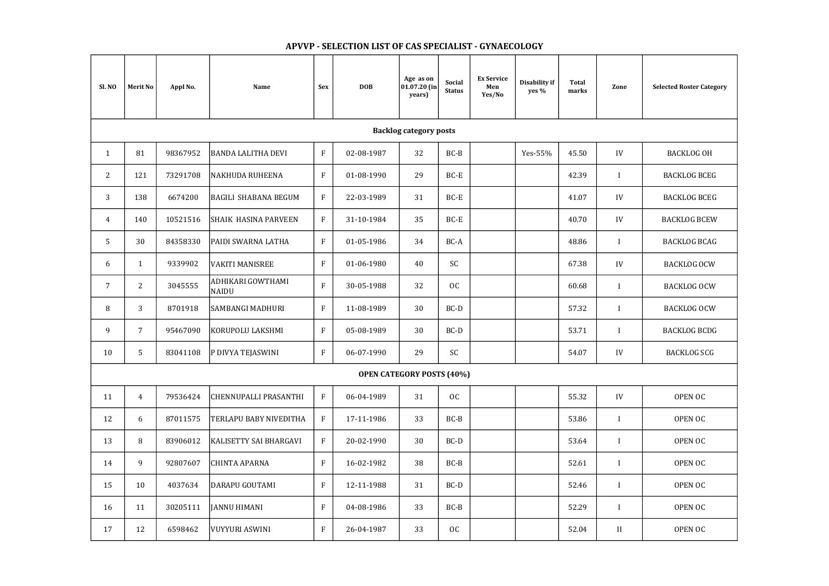| Sl. NO         | <b>Merit No</b>               | Appl No. | <b>Name</b>                       | <b>Sex</b>                | <b>DOB</b>                       | Age as on<br>01.07.20 (in<br>years) | Social<br><b>Status</b> | <b>Ex Service</b><br>Men<br>Yes/No | Disability if<br>yes % | <b>Total</b><br>marks | Zone         | <b>Selected Roster Category</b> |  |  |
|----------------|-------------------------------|----------|-----------------------------------|---------------------------|----------------------------------|-------------------------------------|-------------------------|------------------------------------|------------------------|-----------------------|--------------|---------------------------------|--|--|
|                | <b>Backlog category posts</b> |          |                                   |                           |                                  |                                     |                         |                                    |                        |                       |              |                                 |  |  |
| $\mathbf{1}$   | 81                            | 98367952 | <b>BANDA LALITHA DEVI</b>         | $\rm F$                   | 02-08-1987                       | 32                                  | $BC-B$                  |                                    | Yes-55%                | 45.50                 | IV           | <b>BACKLOG OH</b>               |  |  |
| 2              | 121                           | 73291708 | <b>NAKHUDA RUHEENA</b>            | $\rm F$                   | 01-08-1990                       | 29                                  | $BC-E$                  |                                    |                        | 42.39                 |              | <b>BACKLOG BCEG</b>             |  |  |
| 3              | 138                           | 6674200  | <b>BAGILI SHABANA BEGUM</b>       | $\mathbf{F}$              | 22-03-1989                       | 31                                  | BC-E                    |                                    |                        | 41.07                 | IV           | <b>BACKLOG BCEG</b>             |  |  |
| $\overline{4}$ | 140                           | 10521516 | SHAIK HASINA PARVEEN              | $\mathbf{F}$              | 31-10-1984                       | 35                                  | BC-E                    |                                    |                        | 40.70                 | IV           | <b>BACKLOG BCEW</b>             |  |  |
| 5              | 30                            | 84358330 | PAIDI SWARNA LATHA                | $\rm F$                   | 01-05-1986                       | 34                                  | BC-A                    |                                    |                        | 48.86                 |              | <b>BACKLOG BCAG</b>             |  |  |
| 6              | $\mathbf{1}$                  | 9339902  | <b>VAKITI MANISREE</b>            | $\rm F$                   | 01-06-1980                       | 40                                  | SC                      |                                    |                        | 67.38                 | IV           | <b>BACKLOG OCW</b>              |  |  |
| $\overline{7}$ | $\overline{2}$                | 3045555  | ADHIKARI GOWTHAMI<br><b>NAIDU</b> | $\mathbf{F}$              | 30-05-1988                       | 32                                  | OC                      |                                    |                        | 60.68                 | T            | <b>BACKLOG OCW</b>              |  |  |
| 8              | 3                             | 8701918  | <b>SAMBANGI MADHURI</b>           | $\boldsymbol{\mathrm{F}}$ | 11-08-1989                       | 30                                  | $BC-D$                  |                                    |                        | 57.32                 |              | <b>BACKLOG OCW</b>              |  |  |
| 9              | $\overline{7}$                | 95467090 | KORUPOLU LAKSHMI                  | $\rm F$                   | 05-08-1989                       | 30                                  | BC-D                    |                                    |                        | 53.71                 |              | <b>BACKLOG BCDG</b>             |  |  |
| 10             | 5                             | 83041108 | P DIVYA TEJASWINI                 | $\mathbf{F}$              | 06-07-1990                       | 29                                  | SC                      |                                    |                        | 54.07                 | IV           | <b>BACKLOG SCG</b>              |  |  |
|                |                               |          |                                   |                           | <b>OPEN CATEGORY POSTS (40%)</b> |                                     |                         |                                    |                        |                       |              |                                 |  |  |
| 11             | $\overline{4}$                | 79536424 | <b>CHENNUPALLI PRASANTHI</b>      | $\rm F$                   | 06-04-1989                       | 31                                  | OC                      |                                    |                        | 55.32                 | IV           | OPEN OC                         |  |  |
| 12             | 6                             | 87011575 | TERLAPU BABY NIVEDITHA            | $\rm F$                   | 17-11-1986                       | 33                                  | $BC-B$                  |                                    |                        | 53.86                 |              | OPEN OC                         |  |  |
| 13             | 8                             | 83906012 | <b>KALISETTY SAI BHARGAVI</b>     | $\rm F$                   | 20-02-1990                       | 30                                  | BC-D                    |                                    |                        | 53.64                 | $\mathbf{I}$ | OPEN OC                         |  |  |
| 14             | 9                             | 92807607 | <b>CHINTA APARNA</b>              | $\rm F$                   | 16-02-1982                       | 38                                  | $BC-B$                  |                                    |                        | 52.61                 | $\mathbf{I}$ | OPEN OC                         |  |  |
| 15             | 10                            | 4037634  | <b>DARAPU GOUTAMI</b>             | $\mathbf{F}$              | 12-11-1988                       | 31                                  | BC-D                    |                                    |                        | 52.46                 |              | OPEN OC                         |  |  |
| 16             | 11                            | 30205111 | <b>JANNU HIMANI</b>               | $\mathbf{F}$              | 04-08-1986                       | 33                                  | $BC-B$                  |                                    |                        | 52.29                 | $\mathbf{I}$ | OPEN OC                         |  |  |
| 17             | 12                            | 6598462  | <b>VUYYURI ASWINI</b>             | $\rm F$                   | 26-04-1987                       | 33                                  | OC                      |                                    |                        | 52.04                 | $\rm II$     | OPEN OC                         |  |  |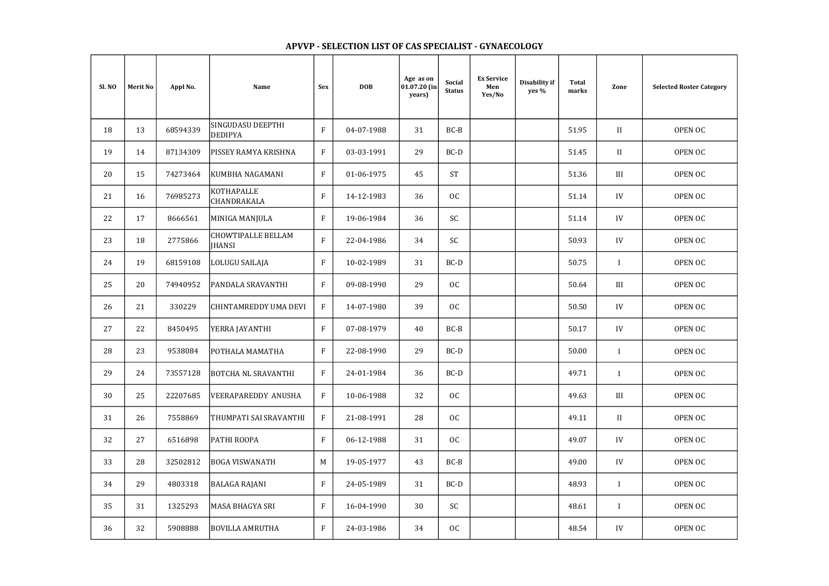## Merit No | Appl No. | Name | Sex | DOB Age as on 01.07.20 (in years) Social Status Ex Service Men Yes/No Disability if yes % Sl. NO Selected Roster Category Total Total Zone 18 13 68594339 SINGUDASU DEEPTHI DEDIPYA F 04-07-1988 31 BC-B 51.95 II OPEN OC 19 | 14 | 87134309 |PISSEY\_RAMYA\_KRISHNA | F | 03-03-1991 | 29 | BC-D | | | 51.45 | II 20 | 15 | 74273464 |KUMBHA NAGAMANI | F | 01-06-1975 | 45 | ST | | | 51.36 | III | OPEN OC 21 16 76985273 KOTHAPALLE CHANDRAKALA F 14-12-1983 36 OC 51.14 IV OPEN OC 22 | 17 | 8666561 |MINIGA<code>MANJULA |</code> F | 19-06-1984 | 36 | SC | | | 51.14 | IV | OPEN OC 23 18 2775866 CHOWTIPALLE BELLAM CHOWTIPALLE BELLAM TRANSING RELAM TRANSING RELAM TRANSING RELAM TRANSING RELAM TRANSING RELAM TRANSING RELAM T<br>JHANSING RELAM TRANSING RELAM TRANSING RELAM TRANSING RELAM TRANSING RELAM TRANSING RELAM TRANSING RELAM TRANS 24 | 19 | 68159108 |LOLUGU SAILAJA | F | 10-02-1989 | 31 | BC-D | | | 50.75 | I | OPEN OC 25 | 20 | 74940952 |PANDALA SRAVANTHI | F | 09-08-1990 | 29 | OC | | | 50.64 | III | OPEN OC 26 | 21 | 330229 |CHINTAMREDDY UMA DEVI | F | 14-07-1980 | 39 | OC | | | | | | 50.50 | | IV 27 22 8450495 YERRA JAYANTHI F 07-08-1979 40 BC-B 50.17 IV OPEN OC 28 | 23 | 9538084 |POTHALA MAMATHA | F | 22-08-1990 | 29 | BC-D | | | 50.00 | I | OPEN OC 29 24 73557128 BOTCHA NL SRAVANTHI F 24-01-1984 36 BC-D | | | | 49.71 | I 30 25 22207685 VEERAPAREDDY ANUSHA F 10-06-1988 32 OC 4 1 49.63 III 31 26 7558869 THUMPATI SAI SRAVANTHI F 21-08-1991 28 0C + 1 49.11 49.11 32 | 27 | 6516898 |PATHI ROOPA | F | 06-12-1988 | 31 | OC | | | 49.07 | IV | OPEN OC 33 | 28 | 32502812 |BOGA VISWANATH | M | 19-05-1977 | 43 | BC-B | | | 49.00 | IV | OPEN OC 34 | 29 | 4803318 |BALAGA\_RAJANI | F | 24-05-1989 | 31 | BC-D | | | 48.93 | I | OPEN\_OC 35 | 31 | 1325293 |MASA BHAGYA SRI | F | 16-04-1990 | 30 | SC | | | 48.61 | I | OPEN OC 36 | 32 | 5908888 |BOVILLA AMRUTHA | F | 24-03-1986 | 34 | OC | | | 48.54 | IV | OPEN OC

| $\ddot{\phantom{0}}$ | <b>Selected Roster Category</b> |
|----------------------|---------------------------------|
|                      | <b>OPEN OC</b>                  |
|                      | <b>OPEN OC</b>                  |
|                      | OPEN OC                         |
|                      | <b>OPEN OC</b>                  |
|                      | <b>OPEN OC</b>                  |
|                      | <b>OPEN OC</b>                  |
|                      | <b>OPEN OC</b>                  |
|                      | OPEN OC                         |
|                      | <b>OPEN OC</b>                  |
|                      | <b>OPEN OC</b>                  |
|                      | <b>OPEN OC</b>                  |
|                      | <b>OPEN OC</b>                  |
|                      | <b>OPEN OC</b>                  |
|                      | <b>OPEN OC</b>                  |
|                      | <b>OPEN OC</b>                  |
|                      | <b>OPEN OC</b>                  |
|                      | <b>OPEN OC</b>                  |
|                      | <b>OPEN OC</b>                  |
|                      | <b>OPEN OC</b>                  |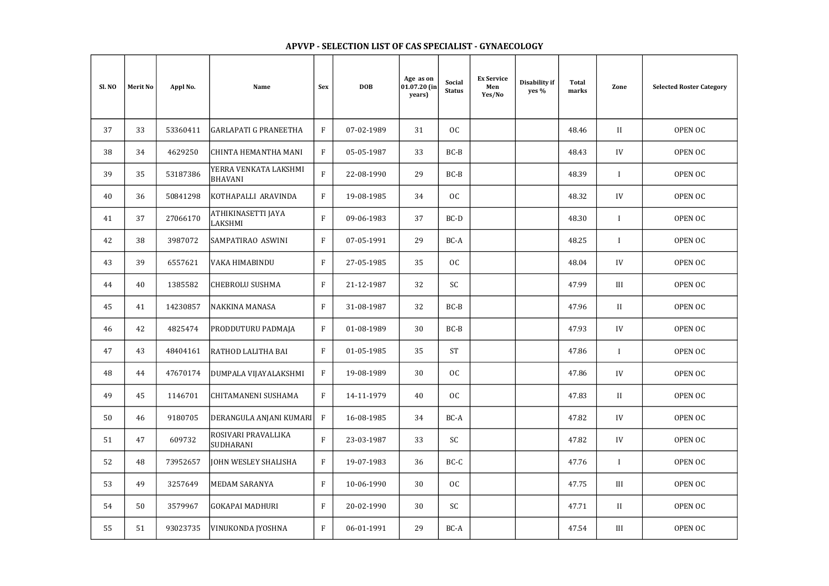## Merit No | Appl No. | Name | Sex | DOB Age as on 01.07.20 (in years) Social Status Ex Service Men Yes/No Disability if yes % Sl. NO Selected Roster Category Total Total Zone 37 33 53360411 GARLAPATI G PRANEETHA F 07-02-1989 31 0C 48.46 48.46 II 38 34 4629250 CHINTA HEMANTHA MANI F 05-05-1987 33 BC-B 39 35 53187386 YERRA VENKATA LAKSHMI<br>BHAVANI YERRA VENKATA LAKSHMI | F | 22-08-1990 | 29 | BC-B | | | | | | | | | | | | | | OPEN OC<br>BHAVANI | F | 22-08-1990 | 29 | BC-B | | | | | | | | | | | | OPEN OC 40 36 50841298 KOTHAPALLI ARAVINDA F 19-08-1985 34 OC 2 1 48.32 V 41 37 27066170 ATHIKINASETTI JAYA LAKSHMI F 09-06-1983 37 BC-D 48.30 I OPEN OC 42 38 3987072 SAMPATIRAO ASWINI F 07-05-1991 29 BC-A 48.25 48.25 I 43 | 39 | 6557621 |VAKA HIMABINDU | F | 27-05-1985 | 35 | OC | | | 48.04 | IV | OPEN OC 44 | 40 | 1385582 |CHEBROLU SUSHMA | F | 21-12-1987 | 32 | SC | | | 47.99 | III | OPEN OC 45 | 41 | 14230857 |NAKKINA MANASA | F | 31-08-1987 | 32 | BC-B | | | 47.96 | II | OPEN OC 46 42 4825474 PRODDUTURU PADMAJA F 01-08-1989 30 BC-B 47 | 43 | 48404161 |RATHOD LALITHA BAI | F | 01-05-1985 | 35 | ST | | | | 47.86 | I | OPEN OC 48 44 47670174 DUMPALA VIJAYALAKSHMI F 19-08-1989 30 0C 1 1 47.86 W 49 45 1146701 CHITAMANENI SUSHAMA F 14-11-1979 40 0C 1 1 47.83 1 II 50 46 9180705 DERANGULA ANJANI KUMARI F 16-08-1985 34 BC-A H 1 47.82 W 51 47 609732 ROSIVARI PRAVALLIKA ROSIVARI PRAVALLIKA | F | 23-03-1987 | 33 | SC | | | 47.82 | IV | OPEN OC<br>SUDHARANI | F | 23-03-1987 | 33 | SC | | | | 47.82 | IV | OPEN OC 52 48 73952657 JOHN WESLEY SHALISHA F 19-07-1983 36 BC-C 47.76 47.76 I 53 | 49 | 3257649 |MEDAM\_SARANYA | F | 10-06-1990 | 30 | OC | | | 47.75 | III | OPEN\_OC 54 | 50 | 3579967 |GOKAPAI\_MADHURI | | | 20-02-1990 | 30 | SC | | | | | | | | | | | | | | | | OPEN\_OC 55 51 93023735 VINUKONDA JYOSHNA F 06-01-1991 29 BC-A H 1 47.54 III

| $\ddot{\phantom{0}}$ | <b>Selected Roster Category</b> |
|----------------------|---------------------------------|
|                      | <b>OPEN OC</b>                  |
|                      | <b>OPEN OC</b>                  |
|                      | <b>OPEN OC</b>                  |
|                      | <b>OPEN OC</b>                  |
|                      | <b>OPEN OC</b>                  |
|                      | <b>OPEN OC</b>                  |
|                      | <b>OPEN OC</b>                  |
|                      | OPEN OC                         |
|                      | <b>OPEN OC</b>                  |
|                      | <b>OPEN OC</b>                  |
|                      | <b>OPEN OC</b>                  |
|                      | <b>OPEN OC</b>                  |
|                      | <b>OPEN OC</b>                  |
|                      | <b>OPEN OC</b>                  |
|                      | <b>OPEN OC</b>                  |
|                      | <b>OPEN OC</b>                  |
|                      | <b>OPEN OC</b>                  |
|                      | OPEN OC                         |
|                      | <b>OPEN OC</b>                  |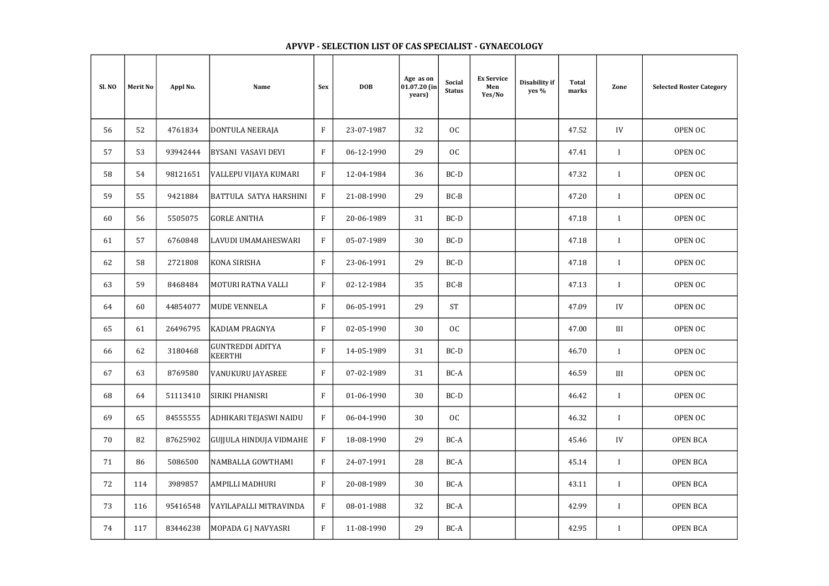## Merit No | Appl No. | Name | Sex | DOB Age as on 01.07.20 (in years) Social Status Ex Service Men Yes/No Disability if yes % Sl. NO Selected Roster Category Total Total Zone 56 | 52 | 4761834 |DONTULA NEERAJA | F | 23-07-1987 | 32 | OC | | | 47.52 | IV | OPEN OC 57 | 53 | 93942444 |BYSANI VASAVI DEVI | F | 06-12-1990 | 29 | OC | | | | 47.41 | I | OPEN OC 58 54 98121651 VALLEPU VIJAYA KUMARI F 12-04-1984 36 BC-D H 12-04-1984 1 OPEN OC-D 59 55 9421884 BATTULA SATYA HARSHINI F 21-08-1990 29 BC-B 60 | 56 | 5505075 |GORLE<code>ANITHA |</code> F | 20-06-1989 | 31 | BC-D | | | | | | | | | | | | | OPEN OC 61 57 6760848 LAVUDI UMAMAHESWARI F 05-07-1989 30 BC-D 62 | 58 | 2721808 |KONA-SIRISHA | F | 23-06-1991 | 29 | BC-D | | | 47.18 | I | OPEN OC 63 | 59 | 8468484 |MOTURI RATNA VALLI | F | 02-12-1984 | 35 | BC-B | | | | 47.13 | I | OPEN OC 64 | 60 | 44854077 |MUDE VENNELA | F | 06-05-1991 | 29 | ST | | | 47.09 | IV | OPEN OC 65 | 61 | 26496795 |KADIAM $\,$ PRAGNYA | F | 02-05-1990 | 30 | OC | | | 47.00 | III | OPEN OC 66 62 3180468 GUNTREDDI ADITYA GUNTREDDIADITYA | F | 14-05-1989 | 31 | BC-D | | | 46.70 | I | OPEN OC<br>KEERTHI 67 | 63 | 8769580 |VANUKURU JAYASREE | F | 07-02-1989 | 31 | BC-A | | | 46.59 | III | OPEN OC 68 | 64 | 51113410 |SIRIKI PHANISRI | F | 01-06-1990 | 30 | BC-D | | | 46.42 | I | OPEN OC 69 65 84555555 ADHIKARI TEJASWI NAIDU F 06-04-1990 30 0C + 1 70 | 82 | 87625902 |GUJJULA HINDUJA VIDMAHE | F | 18-08-1990 | 29 | BC-A | | | 45.46 | IV 71 | 86 | 5086500 |NAMBALLA<code>GOWTHAMI |</code> F | 24-07-1991 | 28 | BC-A | | | 45.14 | I | OPEN BCA 72 | 114 | 3989857 |AMPILLI MADHURI | F | 20-08-1989 | 30 | BC-A | | | 43.11 | I | OPEN BCA 73 | 116 | 95416548 |VAYILAPALLI<code>MITRAVINDA</code> | F | 08-01-1988 | 32 | BC-A | | | 42.99 | I 74 | 117 | 83446238 |MOPADA G J NAVYASRI | F | 11-08-1990 | 29 | BC-A | | | | 42.95 | I

| e | <b>Selected Roster Category</b> |
|---|---------------------------------|
|   | <b>OPEN OC</b>                  |
|   | <b>OPEN OC</b>                  |
|   | <b>OPEN OC</b>                  |
|   | <b>OPEN OC</b>                  |
|   | <b>OPEN OC</b>                  |
|   | <b>OPEN OC</b>                  |
|   | <b>OPEN OC</b>                  |
|   | <b>OPEN OC</b>                  |
|   | <b>OPEN OC</b>                  |
|   | <b>OPEN OC</b>                  |
|   | <b>OPEN OC</b>                  |
|   | <b>OPEN OC</b>                  |
|   | <b>OPEN OC</b>                  |
|   | <b>OPEN OC</b>                  |
|   | <b>OPEN BCA</b>                 |
|   | <b>OPEN BCA</b>                 |
|   | <b>OPEN BCA</b>                 |
|   | <b>OPEN BCA</b>                 |
|   | <b>OPEN BCA</b>                 |
|   |                                 |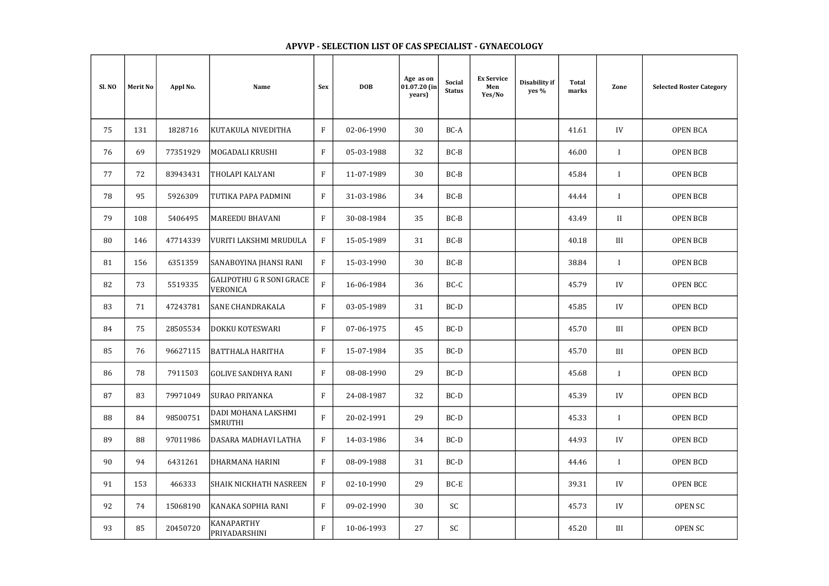| $\ddot{\phantom{0}}$ | <b>Selected Roster Category</b> |
|----------------------|---------------------------------|
|                      | <b>OPEN BCA</b>                 |
|                      | <b>OPEN BCB</b>                 |
|                      | <b>OPEN BCB</b>                 |
|                      | <b>OPEN BCB</b>                 |
|                      | <b>OPEN BCB</b>                 |
|                      | <b>OPEN BCB</b>                 |
|                      | <b>OPEN BCB</b>                 |
|                      | <b>OPEN BCC</b>                 |
|                      | <b>OPEN BCD</b>                 |
|                      | <b>OPEN BCD</b>                 |
|                      | <b>OPEN BCD</b>                 |
|                      | <b>OPEN BCD</b>                 |
|                      | <b>OPEN BCD</b>                 |
|                      | <b>OPEN BCD</b>                 |
|                      | <b>OPEN BCD</b>                 |
|                      | <b>OPEN BCD</b>                 |
|                      | <b>OPEN BCE</b>                 |
|                      | <b>OPEN SC</b>                  |
|                      | <b>OPEN SC</b>                  |
|                      |                                 |

## Merit No | Appl No. | Name | Sex | DOB Age as on 01.07.20 (in years) Social Status Ex Service Men Yes/No Disability if yes % Sl. NO Selected Roster Category Total Total Zone 75 131 1828716 KUTAKULA NIVEDITHA F 02-06-1990 30 BC-A 41.61 IV OPEN BCA 76 | 69 | 77351929 |MOGADALI\_KRUSHI | | | | | 05-03-1988 | | 32 | | BC-B | | | | | | | | | | | | | | | | | | OPEN BCB 77 | 72 | 83943431 |THOLAPI KALYANI | F | 11-07-1989 | 30 | BC-B | | | | 45.84 | I | OPEN BCB 78 | 95 | 5926309 |TUTIKA PAPA PADMINI | F | 31-03-1986 | 34 | BC-B | | | | 44.44 | I | OPEN BCB 79 | 108 | 5406495 |MAREEDU BHAVANI | F | 30-08-1984 | 35 | BC-B | | | | | 43.49 | II | OPEN BCB 80 | 146 | 47714339 |VURITI LAKSHMI MRUDULA | F | 15-05-1989 | 31 | BC-B | | | 40.18 | III 81 | 156 | 6351359 |SANABOYINA JHANSI RANI | F | 15-03-1990 | 30 | BC-B | | | | 38.84 | I 82 73 5519335 GALIPOTHU G R SONI GRACE GALIPUTHU G R SUNI GRACE | F | 16-06-1984 | 36 | BC-C | | | | | | | | | | | | | | | | OPEN BCC | | | | | | | |<br>VERONICA 83 | 71 | 47243781 |SANE CHANDRAKALA | F | 03-05-1989 | 31 | BC-D | | | 45.85 | IV | OPEN BCD 84 | 75 | 28505534 |DOKKU<code>KOTESWARI</code> | F | 07-06-1975 | 45 | BC-D | | | 45.70 | III | OPEN BCD 85 | 76 | 96627115 |BATTHALA HARITHA | F | 15-07-1984 | 35 | BC-D | | | | | 45.70 | III | OPEN BCD 86 | 78 | 7911503 |GOLIVE SANDHYA RANI | F | 08-08-1990 | 29 | BC-D | | | 45.68 | I | OPEN BCD 87 | 83 | 79971049 |SURAO PRIYANKA | F | 24-08-1987 | 32 | BC-D | | 45.39 | IV | OPEN BCD 88 84 98500751 DADI MOHANA LAKSHMI DADI MOHANA LAKSHMI | F | 20-02-1991 | 29 | BC-D | | | | | | | | | | | | | OPEN BCD<br>SMRUTHI 89 88 97011986 DASARA MADHAVI LATHA F 14-03-1986 34 BC-D 1 14.93 44.93 W 90 | 94 | 6431261 |DHARMANA\_HARINI | F | 08-09-1988 | 31 | BC-D | | | 44.46 | I | OPEN\_BCD 91 | 153 | 466333 |SHAIK NICKHATH NASREEN | F | 02-10-1990 | 29 | BC-E | | | | 39.31 | IV 92 | 74 | 15068190 |KANAKA SOPHIA RANI | F | 09-02-1990 | 30 | SC | | | | 45.73 | IV 93 85 20450720 KANAPARTHY<br>PRIYADARSHINI PRIYADARSHINI F 10-06-1993 27 SC 45.20 III OPEN SC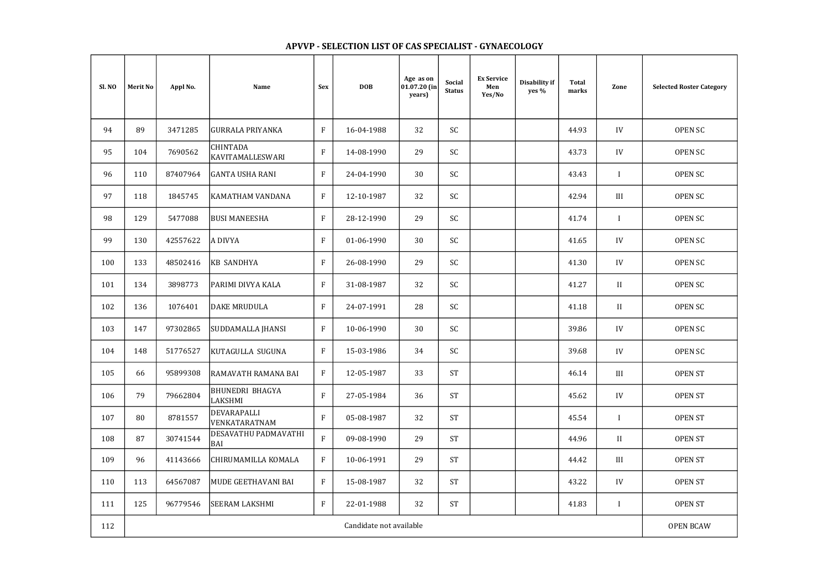| Sl. NO | <b>Merit No</b> | Appl No. | Name                                | <b>Sex</b>   | <b>DOB</b>              | Age as on<br>01.07.20 (in<br>years) | Social<br><b>Status</b> | <b>Ex Service</b><br>Men<br>Yes/No | Disability if<br>yes % | <b>Total</b><br>marks | Zone         | <b>Selected Roster Category</b> |
|--------|-----------------|----------|-------------------------------------|--------------|-------------------------|-------------------------------------|-------------------------|------------------------------------|------------------------|-----------------------|--------------|---------------------------------|
| 94     | 89              | 3471285  | GURRALA PRIYANKA                    | $\mathbf{F}$ | 16-04-1988              | 32                                  | SC                      |                                    |                        | 44.93                 | IV           | <b>OPEN SC</b>                  |
| 95     | 104             | 7690562  | <b>CHINTADA</b><br>KAVITAMALLESWARI | $\mathbf{F}$ | 14-08-1990              | 29                                  | SC                      |                                    |                        | 43.73                 | IV           | <b>OPEN SC</b>                  |
| 96     | 110             | 87407964 | <b>GANTA USHA RANI</b>              | $\mathbf{F}$ | 24-04-1990              | 30                                  | $\mathsf{SC}$           |                                    |                        | 43.43                 | $\mathbf{I}$ | <b>OPEN SC</b>                  |
| 97     | 118             | 1845745  | KAMATHAM VANDANA                    | $\mathbf{F}$ | 12-10-1987              | 32                                  | SC                      |                                    |                        | 42.94                 | III          | <b>OPEN SC</b>                  |
| 98     | 129             | 5477088  | <b>BUSI MANEESHA</b>                | $\mathbf{F}$ | 28-12-1990              | 29                                  | SC                      |                                    |                        | 41.74                 | $\mathbf{I}$ | <b>OPEN SC</b>                  |
| 99     | 130             | 42557622 | A DIVYA                             | $\mathbf{F}$ | 01-06-1990              | 30                                  | SC                      |                                    |                        | 41.65                 | IV           | <b>OPEN SC</b>                  |
| 100    | 133             | 48502416 | <b>KB SANDHYA</b>                   | $\mathbf{F}$ | 26-08-1990              | 29                                  | <b>SC</b>               |                                    |                        | 41.30                 | IV           | <b>OPEN SC</b>                  |
| 101    | 134             | 3898773  | PARIMI DIVYA KALA                   | $\mathbf{F}$ | 31-08-1987              | 32                                  | SC                      |                                    |                        | 41.27                 | II           | <b>OPEN SC</b>                  |
| 102    | 136             | 1076401  | <b>DAKE MRUDULA</b>                 | $\rm F$      | 24-07-1991              | 28                                  | SC                      |                                    |                        | 41.18                 | $\mathbf{I}$ | <b>OPEN SC</b>                  |
| 103    | 147             | 97302865 | SUDDAMALLA JHANSI                   | $\mathbf{F}$ | 10-06-1990              | 30                                  | SC                      |                                    |                        | 39.86                 | IV           | <b>OPEN SC</b>                  |
| 104    | 148             | 51776527 | KUTAGULLA SUGUNA                    | $\mathbf{F}$ | 15-03-1986              | 34                                  | SC                      |                                    |                        | 39.68                 | IV           | <b>OPEN SC</b>                  |
| 105    | 66              | 95899308 | RAMAVATH RAMANA BAI                 | F            | 12-05-1987              | 33                                  | <b>ST</b>               |                                    |                        | 46.14                 | III          | <b>OPEN ST</b>                  |
| 106    | 79              | 79662804 | BHUNEDRI BHAGYA<br>LAKSHMI          | $\rm F$      | 27-05-1984              | 36                                  | <b>ST</b>               |                                    |                        | 45.62                 | IV           | <b>OPEN ST</b>                  |
| 107    | 80              | 8781557  | DEVARAPALLI<br>VENKATARATNAM        | $\mathbf{F}$ | 05-08-1987              | 32                                  | <b>ST</b>               |                                    |                        | 45.54                 | $\mathbf{I}$ | <b>OPEN ST</b>                  |
| 108    | 87              | 30741544 | DESAVATHU PADMAVATHI<br><b>BAI</b>  | F            | 09-08-1990              | 29                                  | <b>ST</b>               |                                    |                        | 44.96                 | $\mathbf{I}$ | <b>OPEN ST</b>                  |
| 109    | 96              | 41143666 | CHIRUMAMILLA KOMALA                 | $\mathbf{F}$ | 10-06-1991              | 29                                  | <b>ST</b>               |                                    |                        | 44.42                 | III          | <b>OPEN ST</b>                  |
| 110    | 113             | 64567087 | MUDE GEETHAVANI BAI                 | $\mathbf{F}$ | 15-08-1987              | 32                                  | <b>ST</b>               |                                    |                        | 43.22                 | IV           | <b>OPEN ST</b>                  |
| 111    | 125             | 96779546 | <b>SEERAM LAKSHMI</b>               | $\mathbf{F}$ | 22-01-1988              | 32                                  | <b>ST</b>               |                                    |                        | 41.83                 |              | <b>OPEN ST</b>                  |
| 112    |                 |          |                                     |              | Candidate not available |                                     |                         |                                    |                        |                       |              | <b>OPEN BCAW</b>                |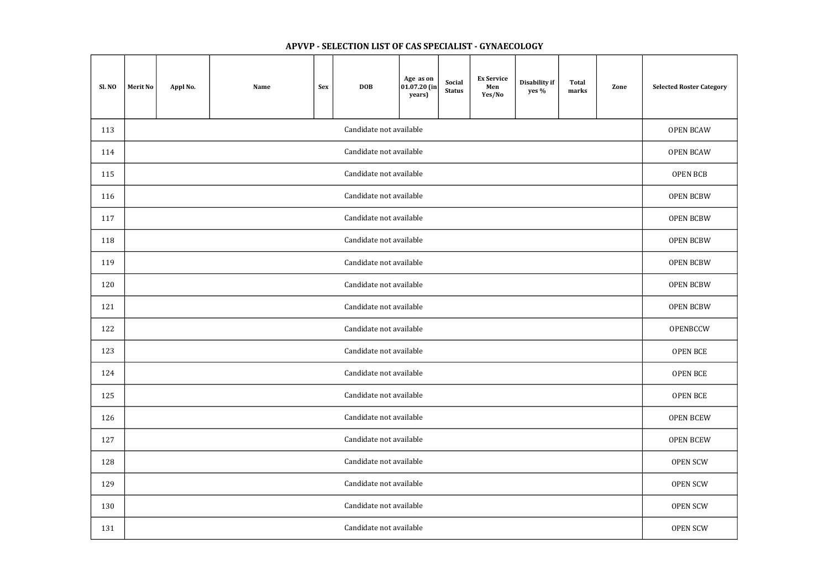| <b>Sl. NO</b> | <b>Merit No</b>         | Appl No.                | Name | <b>Sex</b> | <b>DOB</b>              | Age as on<br> 01.07.20 (in <br>years) | Social<br><b>Status</b> | <b>Ex Service</b><br>Men<br>Yes/No | Disability if<br>yes % | <b>Total</b><br>marks | Zone             | <b>Selected Roster Category</b> |
|---------------|-------------------------|-------------------------|------|------------|-------------------------|---------------------------------------|-------------------------|------------------------------------|------------------------|-----------------------|------------------|---------------------------------|
| 113           |                         |                         |      |            | Candidate not available |                                       |                         |                                    |                        |                       |                  | <b>OPEN BCAW</b>                |
| 114           | Candidate not available |                         |      |            |                         |                                       |                         |                                    |                        |                       | <b>OPEN BCAW</b> |                                 |
| 115           | Candidate not available |                         |      |            |                         |                                       |                         |                                    |                        |                       | OPEN BCB         |                                 |
| 116           | Candidate not available |                         |      |            |                         |                                       |                         |                                    |                        |                       | <b>OPEN BCBW</b> |                                 |
| 117           |                         | Candidate not available |      |            |                         |                                       |                         |                                    |                        |                       |                  | <b>OPEN BCBW</b>                |
| 118           | Candidate not available |                         |      |            |                         |                                       |                         |                                    |                        |                       | <b>OPEN BCBW</b> |                                 |
| 119           | Candidate not available |                         |      |            |                         |                                       |                         |                                    |                        |                       | <b>OPEN BCBW</b> |                                 |
| 120           | Candidate not available |                         |      |            |                         |                                       |                         |                                    |                        |                       | <b>OPEN BCBW</b> |                                 |
| 121           | Candidate not available |                         |      |            |                         |                                       |                         |                                    |                        |                       | <b>OPEN BCBW</b> |                                 |
| 122           |                         |                         |      |            | Candidate not available |                                       |                         |                                    |                        |                       |                  | OPENBCCW                        |
| 123           |                         |                         |      |            | Candidate not available |                                       |                         |                                    |                        |                       |                  | <b>OPEN BCE</b>                 |
| 124           |                         |                         |      |            | Candidate not available |                                       |                         |                                    |                        |                       |                  | <b>OPEN BCE</b>                 |
| 125           |                         |                         |      |            | Candidate not available |                                       |                         |                                    |                        |                       |                  | OPEN BCE                        |
| 126           |                         |                         |      |            | Candidate not available |                                       |                         |                                    |                        |                       |                  | <b>OPEN BCEW</b>                |
| 127           |                         |                         |      |            | Candidate not available |                                       |                         |                                    |                        |                       |                  | <b>OPEN BCEW</b>                |
| 128           |                         |                         |      |            | Candidate not available |                                       |                         |                                    |                        |                       |                  | <b>OPEN SCW</b>                 |
| 129           |                         |                         |      |            | Candidate not available |                                       |                         |                                    |                        |                       |                  | <b>OPEN SCW</b>                 |
| 130           |                         |                         |      |            | Candidate not available |                                       |                         |                                    |                        |                       |                  | <b>OPEN SCW</b>                 |
| 131           |                         |                         |      |            | Candidate not available |                                       |                         |                                    |                        |                       |                  | <b>OPEN SCW</b>                 |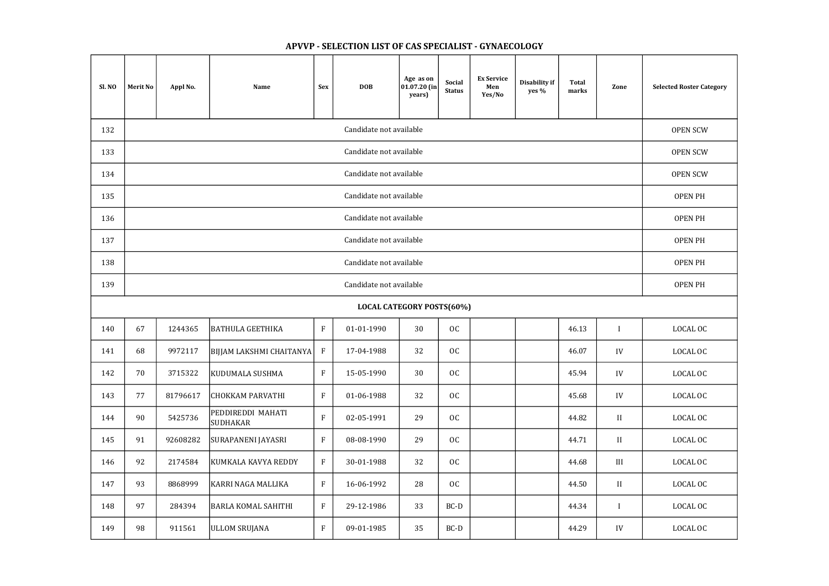| Sl. NO | <b>Merit No</b>                  | Appl No. | Name                                 | <b>Sex</b>   | <b>DOB</b>              | Age as on<br>01.07.20 (in<br>years) | Social<br><b>Status</b> | <b>Ex Service</b><br>Men<br>Yes/No | Disability if<br>yes % | <b>Total</b><br>marks | Zone         | <b>Selected Roster Category</b> |  |
|--------|----------------------------------|----------|--------------------------------------|--------------|-------------------------|-------------------------------------|-------------------------|------------------------------------|------------------------|-----------------------|--------------|---------------------------------|--|
| 132    |                                  |          |                                      |              | Candidate not available |                                     |                         |                                    |                        |                       |              | <b>OPEN SCW</b>                 |  |
| 133    | Candidate not available          |          |                                      |              |                         |                                     |                         |                                    |                        |                       |              |                                 |  |
| 134    | Candidate not available          |          |                                      |              |                         |                                     |                         |                                    |                        |                       |              |                                 |  |
| 135    | Candidate not available          |          |                                      |              |                         |                                     |                         |                                    |                        |                       |              |                                 |  |
| 136    | Candidate not available          |          |                                      |              |                         |                                     |                         |                                    |                        |                       |              |                                 |  |
| 137    | Candidate not available          |          |                                      |              |                         |                                     |                         |                                    |                        |                       |              |                                 |  |
| 138    | Candidate not available          |          |                                      |              |                         |                                     |                         |                                    |                        |                       |              | <b>OPEN PH</b>                  |  |
| 139    | Candidate not available          |          |                                      |              |                         |                                     |                         |                                    |                        |                       |              | <b>OPEN PH</b>                  |  |
|        | <b>LOCAL CATEGORY POSTS(60%)</b> |          |                                      |              |                         |                                     |                         |                                    |                        |                       |              |                                 |  |
| 140    | 67                               | 1244365  | <b>BATHULA GEETHIKA</b>              | $\rm F$      | 01-01-1990              | 30                                  | OC                      |                                    |                        | 46.13                 |              | LOCAL OC                        |  |
| 141    | 68                               | 9972117  | BIJJAM LAKSHMI CHAITANYA             | $\mathbf{F}$ | 17-04-1988              | 32                                  | OC                      |                                    |                        | 46.07                 | IV           | LOCAL OC                        |  |
| 142    | 70                               | 3715322  | KUDUMALA SUSHMA                      | $\rm F$      | 15-05-1990              | 30                                  | OC                      |                                    |                        | 45.94                 | ${\rm IV}$   | LOCAL OC                        |  |
| 143    | 77                               | 81796617 | CHOKKAM PARVATHI                     | $\mathbf F$  | 01-06-1988              | 32                                  | OC                      |                                    |                        | 45.68                 | ${\rm IV}$   | LOCAL OC                        |  |
| 144    | 90                               | 5425736  | PEDDIREDDI MAHATI<br><b>SUDHAKAR</b> | $\rm F$      | 02-05-1991              | 29                                  | OC                      |                                    |                        | 44.82                 | $\rm II$     | LOCAL OC                        |  |
| 145    | 91                               | 92608282 | SURAPANENI JAYASRI                   | ${\bf F}$    | 08-08-1990              | 29                                  | OC                      |                                    |                        | 44.71                 | $\rm II$     | LOCAL OC                        |  |
| 146    | 92                               | 2174584  | KUMKALA KAVYA REDDY                  | $\mathbf{F}$ | 30-01-1988              | 32                                  | OC                      |                                    |                        | 44.68                 | $\rm III$    | LOCAL OC                        |  |
| 147    | 93                               | 8868999  | KARRI NAGA MALLIKA                   | $\mathbf{F}$ | 16-06-1992              | 28                                  | OC                      |                                    |                        | 44.50                 | $\mathbf{I}$ | LOCAL OC                        |  |
| 148    | 97                               | 284394   | <b>BARLA KOMAL SAHITHI</b>           | $\rm F$      | 29-12-1986              | 33                                  | $BC-D$                  |                                    |                        | 44.34                 | $\mathbf{I}$ | LOCAL OC                        |  |
| 149    | 98                               | 911561   | <b>ULLOM SRUJANA</b>                 | $\rm F$      | 09-01-1985              | 35                                  | $BC-D$                  |                                    |                        | 44.29                 | IV           | LOCAL OC                        |  |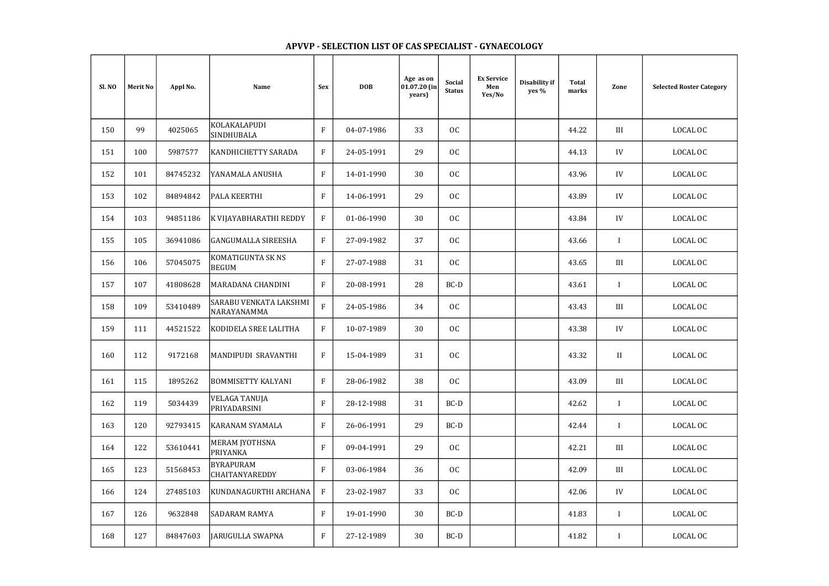| <b>Selected Roster Category</b> |
|---------------------------------|
| LOCAL OC                        |
| <b>LOCAL OC</b>                 |
| LOCAL OC                        |
| <b>LOCAL OC</b>                 |
| LOCAL OC                        |
| LOCAL OC                        |
| LOCAL OC                        |
| LOCAL OC                        |
| LOCAL OC                        |
| <b>LOCAL OC</b>                 |
| LOCAL OC                        |
| LOCAL OC                        |
| LOCAL OC                        |
| LOCAL OC                        |
| LOCAL OC                        |
| LOCAL OC                        |
| <b>LOCAL OC</b>                 |
| LOCAL OC                        |
| <b>LOCAL OC</b>                 |
|                                 |

## Merit No | Appl No. | Name | Sex | DOB Age as on 01.07.20 (in years) Social Status Ex Service Men Yes/No Disability if yes % Sl. NO Selected Roster Category Total Total Zone 150 99 4025065 KOLAKALAPUDI<br>SINDHUBALA SINDHUBALA F 04-07-1986 33 OC 44.22 III LOCAL OC 151 | 100 | 5987577 |KANDHICHETTY SARADA | F | 24-05-1991 | 29 | OC | | | | 44.13 | IV 152 | 101 | 84745232 |YANAMALA<code>ANUSHA</code> | F | 14-01-1990 | 30 | OC | | | 43.96 | IV | LOCAL OC 153 | 102 | 84894842 |PALA KEERTHI | F | 14-06-1991 | 29 | OC | | | 43.89 | IV | LOCAL OC 154 | 103 | 94851186 |KVIJAYABHARATHI REDDY | F | 01-06-1990 | 30 | OC | | | | 43.84 | IV 155 | 105 | 36941086 |GANGUMALLA SIREESHA | F | 27-09-1982 | 37 | OC | | | | | | | | 43.66 | | | 156 106 57045075 KOMATIGUNTA SK NS BEGUM F 27-07-1988 31 OC 43.65 III LOCAL OC 157 107 41808628 MARADANA CHANDINI F 20-08-1991 28 BC-D 43.61 I LOCAL OC  $\left[ \begin{array}{c} 158 \\ 109 \end{array} \right]$  53410489 SARABU VENKATA LAKSHMI SARABU VENKATA LAKSHMI | F | 24-05-1986 | 34 | OC | | | | 43.43 | III | LOCAL OC | 159 | 111 | 44521522 |KODIDELA SREE LALITHA | F | 10-07-1989 | 30 | OC | | | | 43.38 | IV 160 | 112 | 9172168 |MANDIPUDI SRAVANTHI | F | 15-04-1989 | 31 | OC | | | | 43.32 | II | LOCAL OC 161 | 115 | 1895262 |BOMMISETTY\_KALYANI | F | 28-06-1982 | 38 | OC | | | | 43.09 | III | LOCAL\_OC 162 119 5034439 VELAGA TANUJA PRIYADARSINI F 28-12-1988 31 BC-D 42.62 I LOCAL OC 163 120 92793415 KARANAM SYAMALA F 26-06-1991 29 BC-D 42.44 I LOCAL OC 164 | 122 | 53610441 | MERAM JYOTHSNA PRIYANKA F 09-04-1991 29 OC 42.21 III LOCAL OC 165 123 51568453 BYRAPURAM<br>CHAITANYAREDDY BYRAPURAM<br>CHAITANYAREDDY F 03-06-1984 36 OC 1 1 42.09 III LOCAL OC 166 | 124 | 27485103 |KUNDANAGURTHI ARCHANA | F | 23-02-1987 | 33 | OC | | | | 42.06 | IV 167 126 9632848 SADARAM RAMYA F 19-01-1990 30 BC-D 41.83 I LOCAL OC 168 127 84847603 JARUGULLA SWAPNA F 27-12-1989 30 BC-D 41.82 I LOCAL OC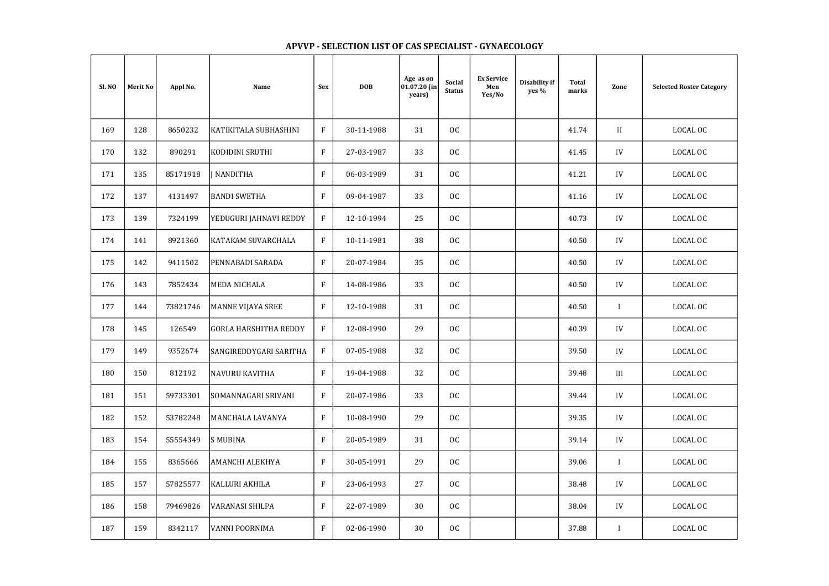## Merit No | Appl No. | Name | Sex | DOB Age as on 01.07.20 (in years) Social Status Ex Service Men Yes/No Disability if yes % Sl. NO Selected Roster Category Total Total Zone 169 | 128 | 8650232 |KATIKITALA\_SUBHASHINI | F | 30-11-1988 | 31 | OC | | | | 41.74 | II 170 | 132 | 890291 |KODIDINI SRUTHI | F | 27-03-1987 | 33 | OC | | | | 41.45 | IV | LOCAL OC 171 | 135 | 85171918 |JNANDITHA | F | 06-03-1989 | 31 | OC | | | 41.21 | IV | LOCAL OC 172 | 137 | 4131497 |BANDI SWETHA | F | 09-04-1987 | 33 | OC | | | | | | 41.16 | IV | LOCAL OC 173 | 139 | 7324199 |YEDUGURI IAHNAVI REDDY | F | 12-10-1994 | 25 | OC | | | | 40.73 | IV 174 | 141 | 8921360 |KATAKAM SUVARCHALA | F | 10-11-1981 | 38 | OC | | | | 40.50 | IV 175 | 142 | 9411502 |PENNABADI SARADA | F | 20-07-1984 | 35 | OC | | | 40.50 | IV | LOCAL OC 176 | 143 | 7852434 |MEDA NICHALA | F | 14-08-1986 | 33 | OC | | | 40.50 | IV | LOCAL OC 177 | 144 | 73821746 |MANNE VIJAYA SREE | F | 12-10-1988 | 31 | OC | | | | | | | | | | | | | | LOCAL OC 178 | 145 | 126549 |GORLA HARSHITHA REDDY | F | 12-08-1990 | 29 | OC | | | | 40.39 | IV 179 | 149 | 9352674 |SANGIREDDYGARI SARITHA | F | 07-05-1988 | 32 | OC | | | | 39.50 | IV 180 | 150 | 812192 |NAVURU KAVITHA | F | 19-04-1988 | 32 | OC | | | | 39.48 | III | LOCAL OC 181 | 151 | 59733301 |SOMANNAGARI SRIVANI | F | 20-07-1986 | 33 | OC | | | | 39.44 | IV 182 | 152 | 53782248 |MANCHALA\_LAVANYA | F | 10-08-1990 | 29 | OC | | | | 39.35 | IV | LOCAL OC 183 | 154 | 55554349 |S<code>MUBINA |</code> F | 20-05-1989 | 31 | OC | | | | | | 39.14 | IV | LOCAL OC 184 | 155 | 8365666 |AMANCHI ALEKHYA | F | 30-05-1991 | 29 | OC | | | | 39.06 | I | LOCAL OC 185 | 157 | 57825577 |KALLURI AKHILA | F | 23-06-1993 | 27 | OC | | | | 38.48 | IV | LOCAL OC 186 | 158 | 79469826 |VARANASI SHILPA | F | 22-07-1989 | 30 | OC | | | | 38.04 | IV | LOCAL OC 187 | 159 | 8342117 |VANNI POORNIMA | F | 02-06-1990 | 30 | OC | | | | 37.88 | I | LOCAL OC

| <b>Selected Roster Category</b> |
|---------------------------------|
| <b>LOCAL OC</b>                 |
| LOCAL OC                        |
| LOCAL OC                        |
| LOCAL OC                        |
| LOCAL OC                        |
| <b>LOCAL OC</b>                 |
| LOCAL OC                        |
| LOCAL OC                        |
| LOCAL OC                        |
| LOCAL OC                        |
| <b>LOCAL OC</b>                 |
| LOCAL OC                        |
| LOCAL OC                        |
| <b>LOCAL OC</b>                 |
| LOCAL OC                        |
| LOCAL OC                        |
| LOCAL OC                        |
| <b>LOCAL OC</b>                 |
| LOCAL OC                        |
|                                 |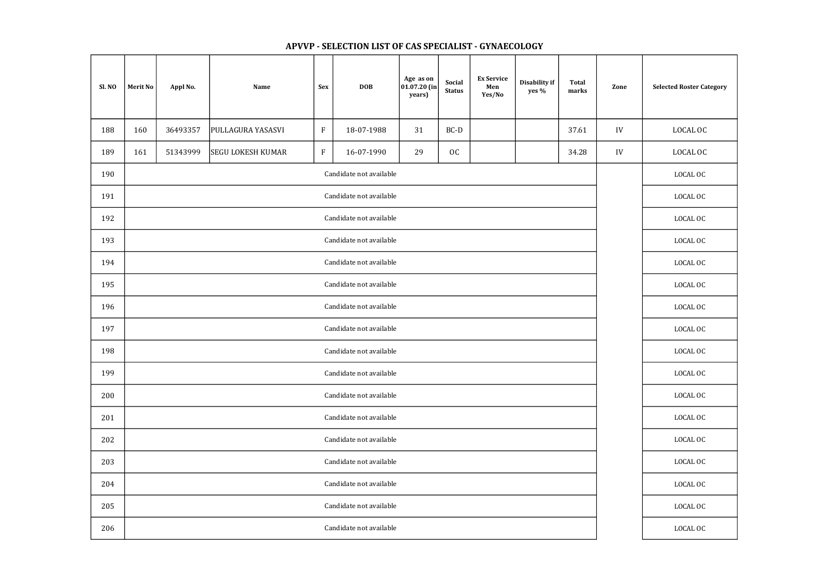| Sl. NO | <b>Merit No</b>         | Appl No. | Name                     | <b>Sex</b>                | <b>DOB</b>              | Age as on<br>$ 01.07.20 $ (in<br>years) | Social<br><b>Status</b> | <b>Ex Service</b><br>Men<br>Yes/No | Disability if<br>yes % | <b>Total</b><br>marks | Zone | <b>Selected Roster Category</b> |
|--------|-------------------------|----------|--------------------------|---------------------------|-------------------------|-----------------------------------------|-------------------------|------------------------------------|------------------------|-----------------------|------|---------------------------------|
| 188    | 160                     | 36493357 | PULLAGURA YASASVI        | $\boldsymbol{\mathrm{F}}$ | 18-07-1988              | 31                                      | BC-D                    |                                    |                        | 37.61                 | IV   | LOCAL OC                        |
| 189    | 161                     | 51343999 | <b>SEGU LOKESH KUMAR</b> | ${\bf F}$                 | 16-07-1990              | 29                                      | OC                      |                                    |                        | 34.28                 | IV   | LOCAL OC                        |
| 190    |                         |          |                          | LOCAL OC                  |                         |                                         |                         |                                    |                        |                       |      |                                 |
| 191    | Candidate not available |          |                          |                           |                         |                                         |                         |                                    |                        |                       |      | LOCAL OC                        |
| 192    |                         |          |                          | LOCAL OC                  |                         |                                         |                         |                                    |                        |                       |      |                                 |
| 193    |                         |          |                          | LOCAL OC                  |                         |                                         |                         |                                    |                        |                       |      |                                 |
| 194    | Candidate not available |          |                          |                           |                         |                                         |                         |                                    |                        |                       |      | LOCAL OC                        |
| 195    | Candidate not available |          |                          |                           |                         |                                         |                         |                                    |                        |                       |      | LOCAL OC                        |
| 196    | Candidate not available |          |                          |                           |                         |                                         |                         |                                    |                        |                       |      | LOCAL OC                        |
| 197    |                         |          |                          |                           | Candidate not available |                                         |                         |                                    |                        |                       |      | LOCAL OC                        |
| 198    |                         |          |                          |                           | Candidate not available |                                         |                         |                                    |                        |                       |      | LOCAL OC                        |
| 199    |                         |          |                          |                           | Candidate not available |                                         |                         |                                    |                        |                       |      | LOCAL OC                        |
| 200    |                         |          |                          |                           | Candidate not available |                                         |                         |                                    |                        |                       |      | LOCAL OC                        |
| 201    |                         |          |                          |                           | Candidate not available |                                         |                         |                                    |                        |                       |      | LOCAL OC                        |
| 202    |                         |          |                          |                           | Candidate not available |                                         |                         |                                    |                        |                       |      | LOCAL OC                        |
| 203    |                         |          |                          |                           | Candidate not available |                                         |                         |                                    |                        |                       |      | LOCAL OC                        |
| 204    |                         |          |                          |                           | Candidate not available |                                         |                         |                                    |                        |                       |      | LOCAL OC                        |
| 205    |                         |          |                          |                           | Candidate not available |                                         |                         |                                    |                        |                       |      | LOCAL OC                        |
| 206    |                         |          |                          |                           | Candidate not available |                                         |                         |                                    |                        |                       |      | LOCAL OC                        |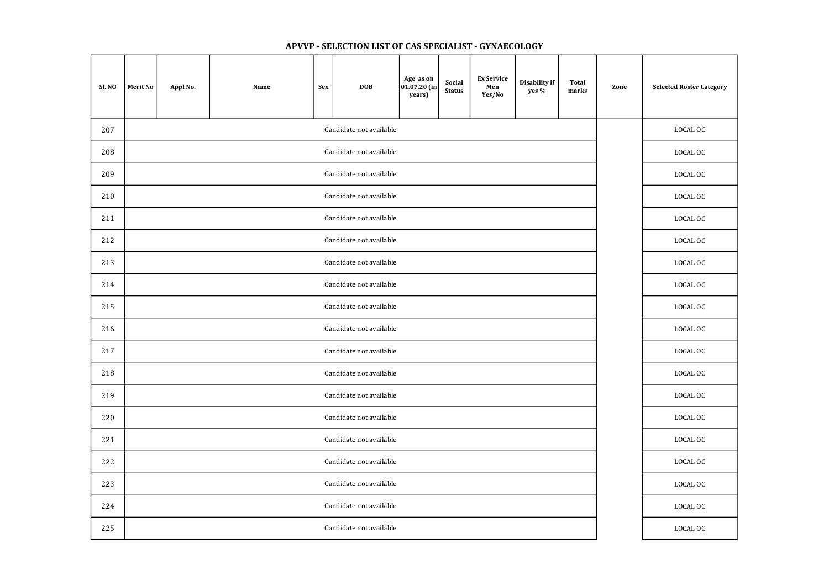| Sl. NO | <b>Merit No</b>         | Appl No. | Name     | <b>Sex</b> | <b>DOB</b>              | Age as on<br>$ 01.07.20 $ (in<br>years) | Social<br><b>Status</b> | <b>Ex Service</b><br>Men<br>Yes/No | Disability if<br>yes % | <b>Total</b><br>marks | Zone | <b>Selected Roster Category</b> |
|--------|-------------------------|----------|----------|------------|-------------------------|-----------------------------------------|-------------------------|------------------------------------|------------------------|-----------------------|------|---------------------------------|
| 207    |                         |          | LOCAL OC |            |                         |                                         |                         |                                    |                        |                       |      |                                 |
| 208    |                         |          |          |            | Candidate not available |                                         |                         |                                    |                        |                       |      | LOCAL OC                        |
| 209    | Candidate not available |          |          |            |                         |                                         |                         |                                    |                        |                       |      | LOCAL OC                        |
| 210    | Candidate not available |          |          |            |                         |                                         |                         |                                    |                        |                       |      | LOCAL OC                        |
| 211    |                         |          |          |            | Candidate not available |                                         |                         |                                    |                        |                       |      | LOCAL OC                        |
| 212    |                         |          |          |            | Candidate not available |                                         |                         |                                    |                        |                       |      | LOCAL OC                        |
| 213    |                         |          |          |            | Candidate not available |                                         |                         |                                    |                        |                       |      | LOCAL OC                        |
| 214    |                         |          |          |            | Candidate not available |                                         |                         |                                    |                        |                       |      | LOCAL OC                        |
| 215    |                         |          |          |            | Candidate not available |                                         |                         |                                    |                        |                       |      | LOCAL OC                        |
| 216    |                         |          |          |            | Candidate not available |                                         |                         |                                    |                        |                       |      | LOCAL OC                        |
| 217    |                         |          |          |            | Candidate not available |                                         |                         |                                    |                        |                       |      | LOCAL OC                        |
| 218    |                         |          |          |            | Candidate not available |                                         |                         |                                    |                        |                       |      | LOCAL OC                        |
| 219    |                         |          |          |            | Candidate not available |                                         |                         |                                    |                        |                       |      | LOCAL OC                        |
| 220    |                         |          |          |            | Candidate not available |                                         |                         |                                    |                        |                       |      | LOCAL OC                        |
| 221    |                         |          |          |            | Candidate not available |                                         |                         |                                    |                        |                       |      | LOCAL OC                        |
| 222    |                         |          |          |            | Candidate not available |                                         |                         |                                    |                        |                       |      | LOCAL OC                        |
| 223    |                         |          |          |            | Candidate not available |                                         |                         |                                    |                        |                       |      | LOCAL OC                        |
| 224    |                         |          |          |            | Candidate not available |                                         |                         |                                    |                        |                       |      | LOCAL OC                        |
| 225    |                         |          |          |            | Candidate not available |                                         |                         |                                    |                        |                       |      | LOCAL OC                        |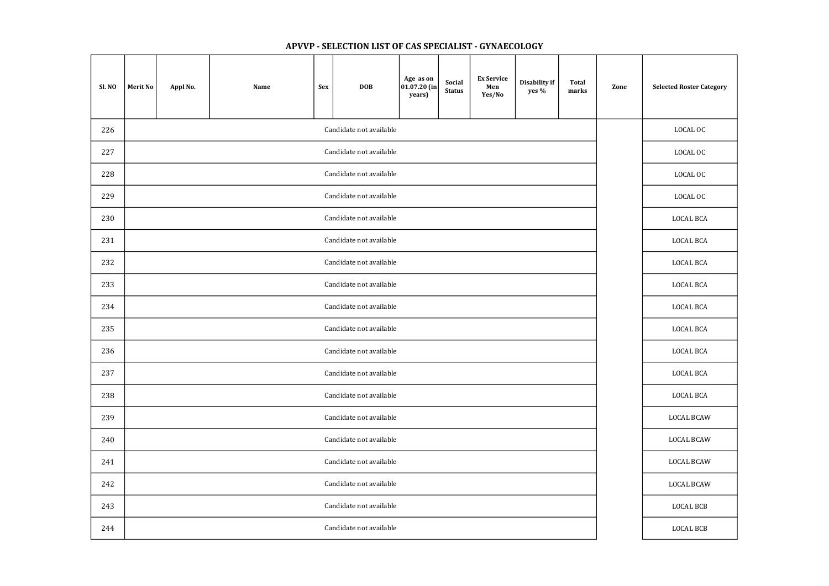| Sl. NO | <b>Merit No</b>         | Appl No. | Name | <b>Sex</b> | <b>DOB</b>              | Age as on<br>$ 01.07.20 $ (in<br>years) | Social<br><b>Status</b> | <b>Ex Service</b><br>Men<br>Yes/No | Disability if<br>yes % | <b>Total</b><br>marks | Zone             | <b>Selected Roster Category</b> |
|--------|-------------------------|----------|------|------------|-------------------------|-----------------------------------------|-------------------------|------------------------------------|------------------------|-----------------------|------------------|---------------------------------|
| 226    | Candidate not available |          |      |            |                         |                                         |                         |                                    |                        |                       |                  | LOCAL OC                        |
| 227    |                         |          |      |            | Candidate not available |                                         |                         |                                    |                        |                       |                  | LOCAL OC                        |
| 228    |                         |          |      | LOCAL OC   |                         |                                         |                         |                                    |                        |                       |                  |                                 |
| 229    |                         |          |      |            | Candidate not available |                                         |                         |                                    |                        |                       |                  | LOCAL OC                        |
| 230    |                         |          |      |            | Candidate not available |                                         |                         |                                    |                        |                       |                  | <b>LOCAL BCA</b>                |
| 231    |                         |          |      |            | Candidate not available |                                         |                         |                                    |                        |                       |                  | LOCAL BCA                       |
| 232    | Candidate not available |          |      |            |                         |                                         |                         |                                    |                        |                       |                  | <b>LOCAL BCA</b>                |
| 233    | Candidate not available |          |      |            |                         |                                         |                         |                                    |                        |                       | <b>LOCAL BCA</b> |                                 |
| 234    | Candidate not available |          |      |            |                         |                                         |                         |                                    |                        |                       | LOCAL BCA        |                                 |
| 235    |                         |          |      |            | Candidate not available |                                         |                         |                                    |                        |                       |                  | <b>LOCAL BCA</b>                |
| 236    |                         |          |      |            | Candidate not available |                                         |                         |                                    |                        |                       |                  | <b>LOCAL BCA</b>                |
| 237    |                         |          |      |            | Candidate not available |                                         |                         |                                    |                        |                       |                  | <b>LOCAL BCA</b>                |
| 238    |                         |          |      |            | Candidate not available |                                         |                         |                                    |                        |                       |                  | LOCAL BCA                       |
| 239    |                         |          |      |            | Candidate not available |                                         |                         |                                    |                        |                       |                  | <b>LOCAL BCAW</b>               |
| 240    |                         |          |      |            | Candidate not available |                                         |                         |                                    |                        |                       |                  | <b>LOCAL BCAW</b>               |
| 241    |                         |          |      |            | Candidate not available |                                         |                         |                                    |                        |                       |                  | <b>LOCAL BCAW</b>               |
| 242    |                         |          |      |            | Candidate not available |                                         |                         |                                    |                        |                       |                  | <b>LOCAL BCAW</b>               |
| 243    |                         |          |      |            | Candidate not available |                                         |                         |                                    |                        |                       |                  | LOCAL BCB                       |
| 244    |                         |          |      |            | Candidate not available |                                         |                         |                                    |                        |                       |                  | LOCAL BCB                       |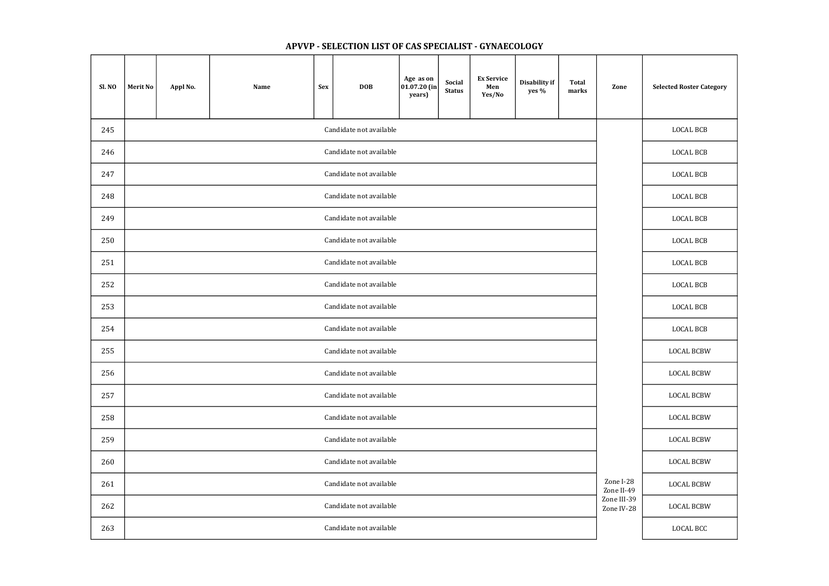| Sl. NO | <b>Merit No</b>         | Appl No. | Name | <b>Sex</b>       | <b>DOB</b>              | Age as on<br>$ 01.07.20 $ (in<br>years) | Social<br><b>Status</b> | <b>Ex Service</b><br>Men<br>Yes/No | Disability if<br>yes % | <b>Total</b><br>marks | Zone                      | <b>Selected Roster Category</b> |
|--------|-------------------------|----------|------|------------------|-------------------------|-----------------------------------------|-------------------------|------------------------------------|------------------------|-----------------------|---------------------------|---------------------------------|
| 245    | Candidate not available |          |      |                  |                         |                                         |                         |                                    |                        |                       |                           | <b>LOCAL BCB</b>                |
| 246    |                         |          |      |                  | Candidate not available |                                         |                         |                                    |                        |                       |                           | <b>LOCAL BCB</b>                |
| 247    |                         |          |      | <b>LOCAL BCB</b> |                         |                                         |                         |                                    |                        |                       |                           |                                 |
| 248    |                         |          |      | <b>LOCAL BCB</b> |                         |                                         |                         |                                    |                        |                       |                           |                                 |
| 249    |                         |          |      |                  | Candidate not available |                                         |                         |                                    |                        |                       |                           | <b>LOCAL BCB</b>                |
| 250    |                         |          |      |                  | Candidate not available |                                         |                         |                                    |                        |                       |                           | <b>LOCAL BCB</b>                |
| 251    | Candidate not available |          |      |                  |                         |                                         |                         |                                    |                        |                       |                           | <b>LOCAL BCB</b>                |
| 252    | Candidate not available |          |      |                  |                         |                                         |                         |                                    |                        |                       |                           | <b>LOCAL BCB</b>                |
| 253    |                         |          |      |                  | Candidate not available |                                         |                         |                                    |                        |                       |                           | <b>LOCAL BCB</b>                |
| 254    |                         |          |      |                  | Candidate not available |                                         |                         |                                    |                        |                       |                           | <b>LOCAL BCB</b>                |
| 255    |                         |          |      |                  | Candidate not available |                                         |                         |                                    |                        |                       |                           | <b>LOCAL BCBW</b>               |
| 256    |                         |          |      |                  | Candidate not available |                                         |                         |                                    |                        |                       |                           | <b>LOCAL BCBW</b>               |
| 257    |                         |          |      |                  | Candidate not available |                                         |                         |                                    |                        |                       |                           | <b>LOCAL BCBW</b>               |
| 258    |                         |          |      |                  | Candidate not available |                                         |                         |                                    |                        |                       |                           | <b>LOCAL BCBW</b>               |
| 259    |                         |          |      |                  | Candidate not available |                                         |                         |                                    |                        |                       |                           | <b>LOCAL BCBW</b>               |
| 260    |                         |          |      |                  | Candidate not available |                                         |                         |                                    |                        |                       |                           | <b>LOCAL BCBW</b>               |
| 261    |                         |          |      |                  | Candidate not available |                                         |                         |                                    |                        |                       | Zone I-28<br>Zone II-49   | <b>LOCAL BCBW</b>               |
| 262    |                         |          |      |                  | Candidate not available |                                         |                         |                                    |                        |                       | Zone III-39<br>Zone IV-28 | <b>LOCAL BCBW</b>               |
| 263    |                         |          |      |                  | Candidate not available |                                         |                         |                                    |                        |                       |                           | LOCAL BCC                       |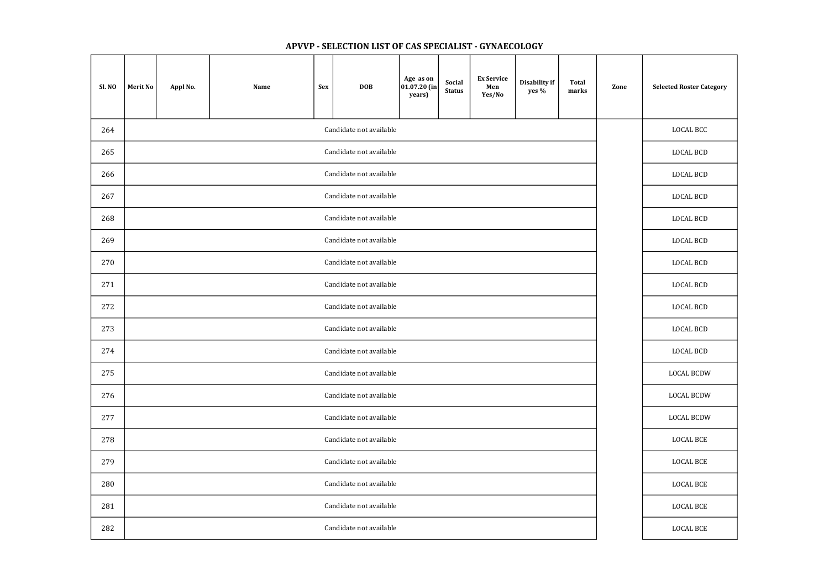| Sl. NO | <b>Merit No</b>         | Appl No. | Name | Sex | <b>DOB</b>              | Age as on<br>$ 01.07.20 $ (in<br>years) | <b>Social</b><br><b>Status</b> | <b>Ex Service</b><br>Men<br>Yes/No | Disability if<br>yes % | <b>Total</b><br>marks | Zone | <b>Selected Roster Category</b> |
|--------|-------------------------|----------|------|-----|-------------------------|-----------------------------------------|--------------------------------|------------------------------------|------------------------|-----------------------|------|---------------------------------|
| 264    | Candidate not available |          |      |     |                         |                                         |                                |                                    |                        |                       |      | LOCAL BCC                       |
| 265    |                         |          |      |     | Candidate not available |                                         |                                |                                    |                        |                       |      | <b>LOCAL BCD</b>                |
| 266    | Candidate not available |          |      |     |                         |                                         |                                |                                    |                        |                       |      | <b>LOCAL BCD</b>                |
| 267    |                         |          |      |     | Candidate not available |                                         |                                |                                    |                        |                       |      | <b>LOCAL BCD</b>                |
| 268    |                         |          |      |     | Candidate not available |                                         |                                |                                    |                        |                       |      | <b>LOCAL BCD</b>                |
| 269    |                         |          |      |     | Candidate not available |                                         |                                |                                    |                        |                       |      | <b>LOCAL BCD</b>                |
| 270    | Candidate not available |          |      |     |                         |                                         |                                |                                    |                        |                       |      | <b>LOCAL BCD</b>                |
| 271    | Candidate not available |          |      |     |                         |                                         |                                |                                    |                        |                       |      | <b>LOCAL BCD</b>                |
| 272    | Candidate not available |          |      |     |                         |                                         |                                |                                    |                        |                       |      | <b>LOCAL BCD</b>                |
| 273    |                         |          |      |     | Candidate not available |                                         |                                |                                    |                        |                       |      | <b>LOCAL BCD</b>                |
| 274    |                         |          |      |     | Candidate not available |                                         |                                |                                    |                        |                       |      | <b>LOCAL BCD</b>                |
| 275    |                         |          |      |     | Candidate not available |                                         |                                |                                    |                        |                       |      | <b>LOCAL BCDW</b>               |
| 276    |                         |          |      |     | Candidate not available |                                         |                                |                                    |                        |                       |      | <b>LOCAL BCDW</b>               |
| 277    |                         |          |      |     | Candidate not available |                                         |                                |                                    |                        |                       |      | <b>LOCAL BCDW</b>               |
| 278    |                         |          |      |     | Candidate not available |                                         |                                |                                    |                        |                       |      | LOCAL BCE                       |
| 279    |                         |          |      |     | Candidate not available |                                         |                                |                                    |                        |                       |      | LOCAL BCE                       |
| 280    |                         |          |      |     | Candidate not available |                                         |                                |                                    |                        |                       |      | LOCAL BCE                       |
| 281    |                         |          |      |     | Candidate not available |                                         |                                |                                    |                        |                       |      | LOCAL BCE                       |
| 282    |                         |          |      |     | Candidate not available |                                         |                                |                                    |                        |                       |      | LOCAL BCE                       |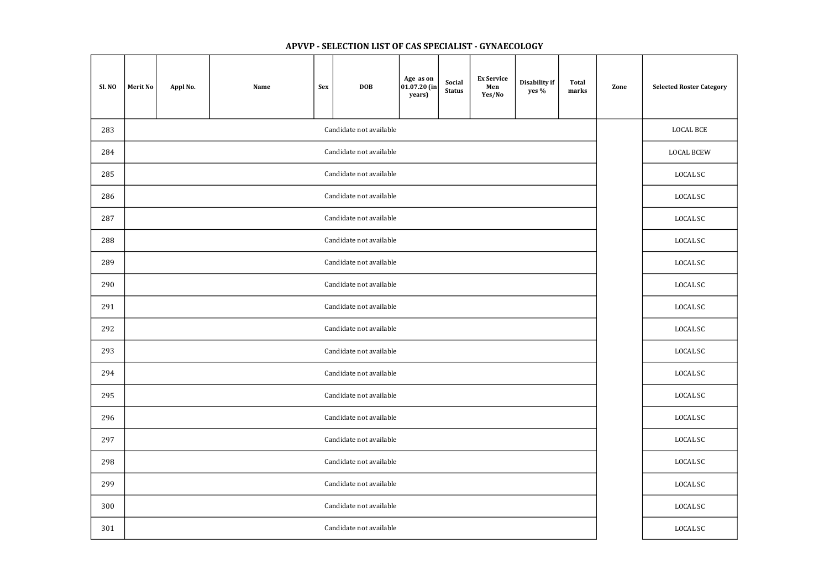| Sl. NO                         | <b>Merit No</b>         | Appl No. | Name | <b>Sex</b> | <b>DOB</b>              | Age as on<br>$ 01.07.20$ (in<br>years) | Social<br><b>Status</b> | <b>Ex Service</b><br>Men<br>Yes/No | Disability if<br>yes % | <b>Total</b><br>marks | Zone | <b>Selected Roster Category</b> |
|--------------------------------|-------------------------|----------|------|------------|-------------------------|----------------------------------------|-------------------------|------------------------------------|------------------------|-----------------------|------|---------------------------------|
| Candidate not available<br>283 |                         |          |      |            |                         |                                        |                         |                                    |                        |                       |      | <b>LOCAL BCE</b>                |
| 284                            |                         |          |      |            | Candidate not available |                                        |                         |                                    |                        |                       |      | <b>LOCAL BCEW</b>               |
| 285                            | Candidate not available |          |      |            |                         |                                        |                         |                                    |                        |                       |      | LOCAL SC                        |
| 286                            |                         |          |      |            | Candidate not available |                                        |                         |                                    |                        |                       |      | LOCAL SC                        |
| 287                            |                         |          |      |            | Candidate not available |                                        |                         |                                    |                        |                       |      | LOCAL SC                        |
| 288                            |                         |          |      |            | Candidate not available |                                        |                         |                                    |                        |                       |      | LOCAL SC                        |
| 289                            | Candidate not available |          |      |            |                         |                                        |                         |                                    |                        |                       |      | LOCAL SC                        |
| 290                            | Candidate not available |          |      |            |                         |                                        |                         |                                    |                        |                       |      | LOCAL SC                        |
| 291                            |                         |          |      |            | Candidate not available |                                        |                         |                                    |                        |                       |      | LOCAL SC                        |
| 292                            |                         |          |      |            | Candidate not available |                                        |                         |                                    |                        |                       |      | LOCAL SC                        |
| 293                            |                         |          |      |            | Candidate not available |                                        |                         |                                    |                        |                       |      | LOCAL SC                        |
| 294                            |                         |          |      |            | Candidate not available |                                        |                         |                                    |                        |                       |      | <b>LOCAL SC</b>                 |
| 295                            |                         |          |      |            | Candidate not available |                                        |                         |                                    |                        |                       |      | LOCAL SC                        |
| 296                            |                         |          |      |            | Candidate not available |                                        |                         |                                    |                        |                       |      | LOCAL SC                        |
| 297                            |                         |          |      |            | Candidate not available |                                        |                         |                                    |                        |                       |      | LOCAL SC                        |
| 298                            |                         |          |      |            | Candidate not available |                                        |                         |                                    |                        |                       |      | LOCAL SC                        |
| 299                            |                         |          |      |            | Candidate not available |                                        |                         |                                    |                        |                       |      | LOCAL SC                        |
| 300                            |                         |          |      |            | Candidate not available |                                        |                         |                                    |                        |                       |      | LOCAL SC                        |
| 301                            |                         |          |      |            | Candidate not available |                                        |                         |                                    |                        |                       |      | LOCAL SC                        |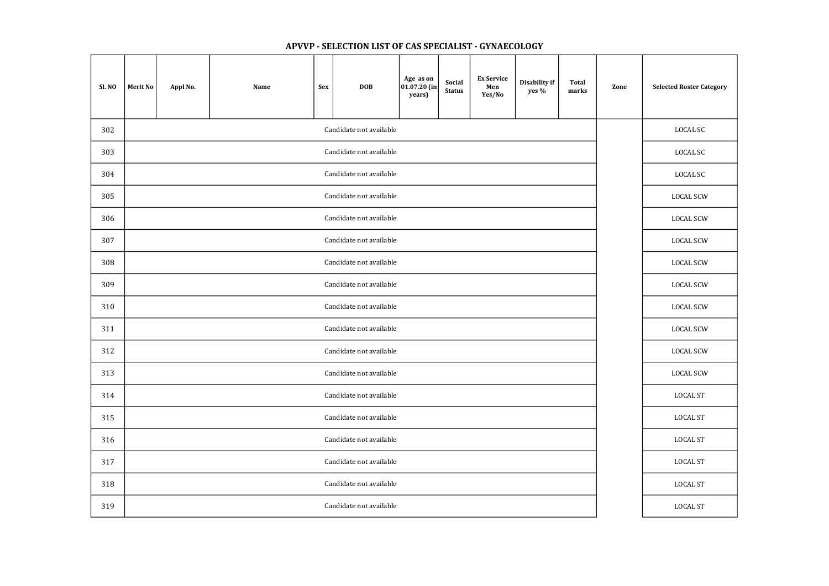| Sl. NO | <b>Merit No</b>         | Appl No. | Name | <b>Sex</b> | <b>DOB</b>              | Age as on<br>$ 01.07.20$ (in<br>years) | Social<br><b>Status</b> | <b>Ex Service</b><br>Men<br>Yes/No | Disability if<br>yes % | <b>Total</b><br>marks | Zone | <b>Selected Roster Category</b> |
|--------|-------------------------|----------|------|------------|-------------------------|----------------------------------------|-------------------------|------------------------------------|------------------------|-----------------------|------|---------------------------------|
| 302    |                         |          |      |            | Candidate not available |                                        |                         |                                    |                        |                       |      | LOCAL SC                        |
| 303    |                         |          |      |            | Candidate not available |                                        |                         |                                    |                        |                       |      | LOCAL SC                        |
| 304    |                         |          |      | LOCAL SC   |                         |                                        |                         |                                    |                        |                       |      |                                 |
| 305    |                         |          |      |            | Candidate not available |                                        |                         |                                    |                        |                       |      | <b>LOCAL SCW</b>                |
| 306    |                         |          |      |            | Candidate not available |                                        |                         |                                    |                        |                       |      | <b>LOCAL SCW</b>                |
| 307    |                         |          |      |            | Candidate not available |                                        |                         |                                    |                        |                       |      | <b>LOCAL SCW</b>                |
| 308    | Candidate not available |          |      |            |                         |                                        |                         |                                    |                        |                       |      | <b>LOCAL SCW</b>                |
| 309    |                         |          |      |            | Candidate not available |                                        |                         |                                    |                        |                       |      | <b>LOCAL SCW</b>                |
| 310    |                         |          |      |            | Candidate not available |                                        |                         |                                    |                        |                       |      | <b>LOCAL SCW</b>                |
| 311    |                         |          |      |            | Candidate not available |                                        |                         |                                    |                        |                       |      | <b>LOCAL SCW</b>                |
| 312    |                         |          |      |            | Candidate not available |                                        |                         |                                    |                        |                       |      | <b>LOCAL SCW</b>                |
| 313    |                         |          |      |            | Candidate not available |                                        |                         |                                    |                        |                       |      | <b>LOCAL SCW</b>                |
| 314    |                         |          |      |            | Candidate not available |                                        |                         |                                    |                        |                       |      | <b>LOCAL ST</b>                 |
| 315    |                         |          |      |            | Candidate not available |                                        |                         |                                    |                        |                       |      | <b>LOCAL ST</b>                 |
| 316    |                         |          |      |            | Candidate not available |                                        |                         |                                    |                        |                       |      | <b>LOCAL ST</b>                 |
| 317    |                         |          |      |            | Candidate not available |                                        |                         |                                    |                        |                       |      | <b>LOCAL ST</b>                 |
| 318    |                         |          |      |            | Candidate not available |                                        |                         |                                    |                        |                       |      | <b>LOCAL ST</b>                 |
| 319    |                         |          |      |            | Candidate not available |                                        |                         |                                    |                        |                       |      | LOCAL ST                        |